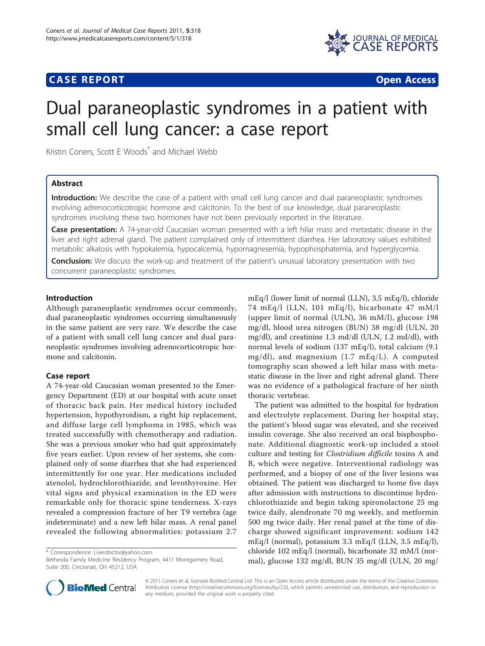# **CASE REPORT CASE REPORT CASE REPORT**



# Dual paraneoplastic syndromes in a patient with small cell lung cancer: a case report

Kristin Coners, Scott E Woods\* and Michael Webb

## Abstract

Introduction: We describe the case of a patient with small cell lung cancer and dual paraneoplastic syndromes involving adrenocorticotropic hormone and calcitonin. To the best of our knowledge, dual paraneoplastic syndromes involving these two hormones have not been previously reported in the literature.

Case presentation: A 74-year-old Caucasian woman presented with a left hilar mass and metastatic disease in the liver and right adrenal gland. The patient complained only of intermittent diarrhea. Her laboratory values exhibited metabolic alkalosis with hypokalemia, hypocalcemia, hypomagnesemia, hypophosphatemia, and hyperglycemia.

**Conclusion:** We discuss the work-up and treatment of the patient's unusual laboratory presentation with two concurrent paraneoplastic syndromes.

# Introduction

Although paraneoplastic syndromes occur commonly, dual paraneoplastic syndromes occurring simultaneously in the same patient are very rare. We describe the case of a patient with small cell lung cancer and dual paraneoplastic syndromes involving adrenocorticotropic hormone and calcitonin.

## Case report

A 74-year-old Caucasian woman presented to the Emergency Department (ED) at our hospital with acute onset of thoracic back pain. Her medical history included hypertension, hypothyroidism, a right hip replacement, and diffuse large cell lymphoma in 1985, which was treated successfully with chemotherapy and radiation. She was a previous smoker who had quit approximately five years earlier. Upon review of her systems, she complained only of some diarrhea that she had experienced intermittently for one year. Her medications included atenolol, hydrochlorothiazide, and levothyroxine. Her vital signs and physical examination in the ED were remarkable only for thoracic spine tenderness. X-rays revealed a compression fracture of her T9 vertebra (age indeterminate) and a new left hilar mass. A renal panel revealed the following abnormalities: potassium 2.7

\* Correspondence: [Liverdoctor@yahoo.com](mailto:Liverdoctor@yahoo.com)

Bethesda Family Medicine Residency Program, 4411 Montgomery Road, Suite 200, Cincinnati, OH 45212, USA

mEq/l (lower limit of normal (LLN), 3.5 mEq/l), chloride 74 mEq/l (LLN, 101 mEq/l), bicarbonate 47 mM/l (upper limit of normal (ULN), 36 mM/l), glucose 198 mg/dl, blood urea nitrogen (BUN) 38 mg/dl (ULN, 20 mg/dl), and creatinine 1.3 md/dl (ULN, 1.2 md/dl), with normal levels of sodium (137 mEq/l), total calcium (9.1 mg/dl), and magnesium (1.7 mEq/L). A computed tomography scan showed a left hilar mass with metastatic disease in the liver and right adrenal gland. There was no evidence of a pathological fracture of her ninth thoracic vertebrae.

The patient was admitted to the hospital for hydration and electrolyte replacement. During her hospital stay, the patient's blood sugar was elevated, and she received insulin coverage. She also received an oral bisphosphonate. Additional diagnostic work-up included a stool culture and testing for Clostridium difficile toxins A and B, which were negative. Interventional radiology was performed, and a biopsy of one of the liver lesions was obtained. The patient was discharged to home five days after admission with instructions to discontinue hydrochlorothiazide and begin taking spironolactone 25 mg twice daily, alendronate 70 mg weekly, and metformin 500 mg twice daily. Her renal panel at the time of discharge showed significant improvement: sodium 142 mEq/l (normal), potassium 3.3 mEq/l (LLN, 3.5 mEq/l), chloride 102 mEq/l (normal), bicarbonate 32 mM/l (normal), glucose 132 mg/dl, BUN 35 mg/dl (ULN, 20 mg/



© 2011 Coners et al; licensee BioMed Central Ltd. This is an Open Access article distributed under the terms of the Creative Commons Attribution License [\(http://creativecommons.org/licenses/by/2.0](http://creativecommons.org/licenses/by/2.0)), which permits unrestricted use, distribution, and reproduction in any medium, provided the original work is properly cited.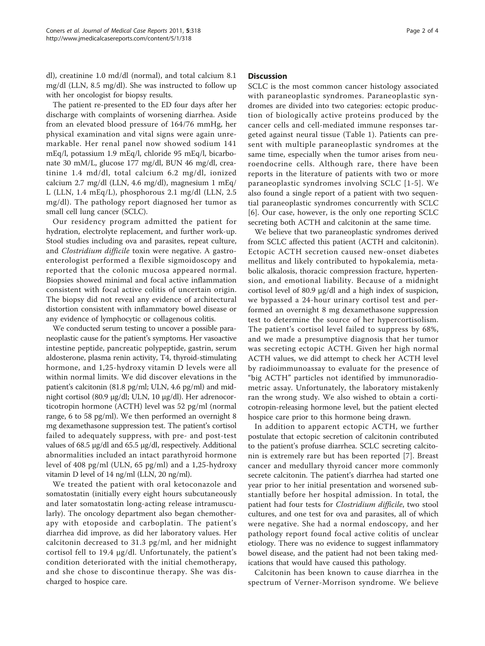dl), creatinine 1.0 md/dl (normal), and total calcium 8.1 mg/dl (LLN, 8.5 mg/dl). She was instructed to follow up with her oncologist for biopsy results.

The patient re-presented to the ED four days after her discharge with complaints of worsening diarrhea. Aside from an elevated blood pressure of 164/76 mmHg, her physical examination and vital signs were again unremarkable. Her renal panel now showed sodium 141 mEq/l, potassium 1.9 mEq/l, chloride 95 mEq/l, bicarbonate 30 mM/L, glucose 177 mg/dl, BUN 46 mg/dl, creatinine 1.4 md/dl, total calcium 6.2 mg/dl, ionized calcium 2.7 mg/dl (LLN, 4.6 mg/dl), magnesium 1 mEq/ L (LLN, 1.4 mEq/L), phosphorous 2.1 mg/dl (LLN, 2.5 mg/dl). The pathology report diagnosed her tumor as small cell lung cancer (SCLC).

Our residency program admitted the patient for hydration, electrolyte replacement, and further work-up. Stool studies including ova and parasites, repeat culture, and Clostridium difficile toxin were negative. A gastroenterologist performed a flexible sigmoidoscopy and reported that the colonic mucosa appeared normal. Biopsies showed minimal and focal active inflammation consistent with focal active colitis of uncertain origin. The biopsy did not reveal any evidence of architectural distortion consistent with inflammatory bowel disease or any evidence of lymphocytic or collagenous colitis.

We conducted serum testing to uncover a possible paraneoplastic cause for the patient's symptoms. Her vasoactive intestine peptide, pancreatic polypeptide, gastrin, serum aldosterone, plasma renin activity, T4, thyroid-stimulating hormone, and 1,25-hydroxy vitamin D levels were all within normal limits. We did discover elevations in the patient's calcitonin (81.8 pg/ml; ULN, 4.6 pg/ml) and midnight cortisol (80.9 μg/dl; ULN, 10 μg/dl). Her adrenocorticotropin hormone (ACTH) level was 52 pg/ml (normal range, 6 to 58 pg/ml). We then performed an overnight 8 mg dexamethasone suppression test. The patient's cortisol failed to adequately suppress, with pre- and post-test values of 68.5 μg/dl and 65.5 μg/dl, respectively. Additional abnormalities included an intact parathyroid hormone level of 408 pg/ml (ULN, 65 pg/ml) and a 1,25-hydroxy vitamin D level of 14 ng/ml (LLN, 20 ng/ml).

We treated the patient with oral ketoconazole and somatostatin (initially every eight hours subcutaneously and later somatostatin long-acting release intramuscularly). The oncology department also began chemotherapy with etoposide and carboplatin. The patient's diarrhea did improve, as did her laboratory values. Her calcitonin decreased to 31.3 pg/ml, and her midnight cortisol fell to 19.4 μg/dl. Unfortunately, the patient's condition deteriorated with the initial chemotherapy, and she chose to discontinue therapy. She was discharged to hospice care.

#### **Discussion**

SCLC is the most common cancer histology associated with paraneoplastic syndromes. Paraneoplastic syndromes are divided into two categories: ectopic production of biologically active proteins produced by the cancer cells and cell-mediated immune responses targeted against neural tissue (Table [1\)](#page-2-0). Patients can present with multiple paraneoplastic syndromes at the same time, especially when the tumor arises from neuroendocrine cells. Although rare, there have been reports in the literature of patients with two or more paraneoplastic syndromes involving SCLC [[1](#page-3-0)-[5](#page-3-0)]. We also found a single report of a patient with two sequential paraneoplastic syndromes concurrently with SCLC [[6](#page-3-0)]. Our case, however, is the only one reporting SCLC secreting both ACTH and calcitonin at the same time.

We believe that two paraneoplastic syndromes derived from SCLC affected this patient (ACTH and calcitonin). Ectopic ACTH secretion caused new-onset diabetes mellitus and likely contributed to hypokalemia, metabolic alkalosis, thoracic compression fracture, hypertension, and emotional liability. Because of a midnight cortisol level of 80.9 μg/dl and a high index of suspicion, we bypassed a 24-hour urinary cortisol test and performed an overnight 8 mg dexamethasone suppression test to determine the source of her hypercortisolism. The patient's cortisol level failed to suppress by 68%, and we made a presumptive diagnosis that her tumor was secreting ectopic ACTH. Given her high normal ACTH values, we did attempt to check her ACTH level by radioimmunoassay to evaluate for the presence of "big ACTH" particles not identified by immunoradiometric assay. Unfortunately, the laboratory mistakenly ran the wrong study. We also wished to obtain a corticotropin-releasing hormone level, but the patient elected hospice care prior to this hormone being drawn.

In addition to apparent ectopic ACTH, we further postulate that ectopic secretion of calcitonin contributed to the patient's profuse diarrhea. SCLC secreting calcitonin is extremely rare but has been reported [\[7](#page-3-0)]. Breast cancer and medullary thyroid cancer more commonly secrete calcitonin. The patient's diarrhea had started one year prior to her initial presentation and worsened substantially before her hospital admission. In total, the patient had four tests for Clostridium difficile, two stool cultures, and one test for ova and parasites, all of which were negative. She had a normal endoscopy, and her pathology report found focal active colitis of unclear etiology. There was no evidence to suggest inflammatory bowel disease, and the patient had not been taking medications that would have caused this pathology.

Calcitonin has been known to cause diarrhea in the spectrum of Verner-Morrison syndrome. We believe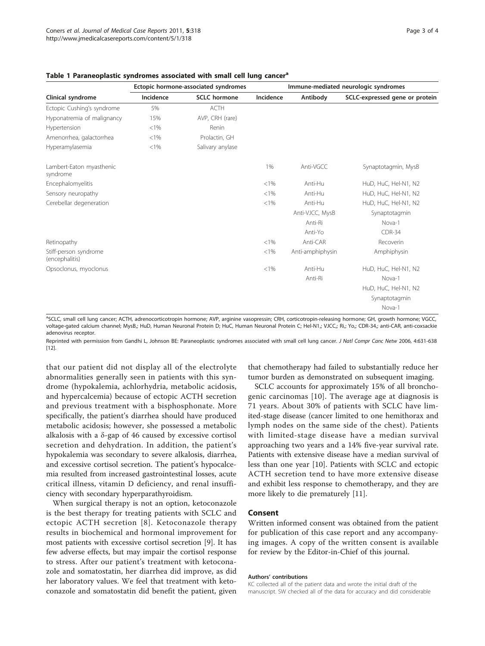| Clinical syndrome                       | Ectopic hormone-associated syndromes |                     | Immune-mediated neurologic syndromes |                  |                                |
|-----------------------------------------|--------------------------------------|---------------------|--------------------------------------|------------------|--------------------------------|
|                                         | Incidence                            | <b>SCLC</b> hormone | Incidence                            | Antibody         | SCLC-expressed gene or protein |
| Ectopic Cushing's syndrome              | 5%                                   | ACTH                |                                      |                  |                                |
| Hyponatremia of malignancy              | 15%                                  | AVP, CRH (rare)     |                                      |                  |                                |
| Hypertension                            | $< 1\%$                              | Renin               |                                      |                  |                                |
| Amenorrhea, galactorrhea                | < 1%                                 | Prolactin, GH       |                                      |                  |                                |
| Hyperamylasemia                         | < 1%                                 | Salivary anylase    |                                      |                  |                                |
| Lambert-Eaton myasthenic<br>syndrome    |                                      |                     | 1%                                   | Anti-VGCC        | Synaptotagmin, MysB            |
| Encephalomyelitis                       |                                      |                     | < 1%                                 | Anti-Hu          | HuD, HuC, Hel-N1, N2           |
| Sensory neuropathy                      |                                      |                     | < 1%                                 | Anti-Hu          | HuD, HuC, Hel-N1, N2           |
| Cerebellar degeneration                 |                                      |                     | < 1%                                 | Anti-Hu          | HuD, HuC, Hel-N1, N2           |
|                                         |                                      |                     |                                      | Anti-VJCC, MysB  | Synaptotagmin                  |
|                                         |                                      |                     |                                      | Anti-Ri          | Nova-1                         |
|                                         |                                      |                     |                                      | Anti-Yo          | $CDR-34$                       |
| Retinopathy                             |                                      |                     | < 1%                                 | Anti-CAR         | Recoverin                      |
| Stiff-person syndrome<br>(encephalitis) |                                      |                     | < 1%                                 | Anti-amphiphysin | Amphiphysin                    |
| Opsoclonus, myoclonus                   |                                      |                     | $< 1\%$                              | Anti-Hu          | HuD, HuC, Hel-N1, N2           |
|                                         |                                      |                     |                                      | Anti-Ri          | Nova-1                         |
|                                         |                                      |                     |                                      |                  | HuD, HuC, Hel-N1, N2           |
|                                         |                                      |                     |                                      |                  | Synaptotagmin                  |
|                                         |                                      |                     |                                      |                  | Nova-1                         |

#### <span id="page-2-0"></span>Table 1 Paraneoplastic syndromes associated with small cell lung cancer<sup>a</sup>

<sup>a</sup>SCLC, small cell lung cancer; ACTH, adrenocorticotropin hormone; AVP, arginine vasopressin; CRH, corticotropin-releasing hormone; GH, growth hormone; VGCC, voltage-gated calcium channel; MysB,; HuD, Human Neuronal Protein D; HuC, Human Neuronal Protein C; Hel-N1,; VJCC,; Ri,; Yo,; CDR-34,; anti-CAR, anti-coxsackie adenovirus receptor.

Reprinted with permission from Gandhi L, Johnson BE: Paraneoplastic syndromes associated with small cell lung cancer. J Natl Compr Canc Netw 2006, 4:631-638 [[12\]](#page-3-0).

that our patient did not display all of the electrolyte abnormalities generally seen in patients with this syndrome (hypokalemia, achlorhydria, metabolic acidosis, and hypercalcemia) because of ectopic ACTH secretion and previous treatment with a bisphosphonate. More specifically, the patient's diarrhea should have produced metabolic acidosis; however, she possessed a metabolic alkalosis with a δ-gap of 46 caused by excessive cortisol secretion and dehydration. In addition, the patient's hypokalemia was secondary to severe alkalosis, diarrhea, and excessive cortisol secretion. The patient's hypocalcemia resulted from increased gastrointestinal losses, acute critical illness, vitamin D deficiency, and renal insufficiency with secondary hyperparathyroidism.

When surgical therapy is not an option, ketoconazole is the best therapy for treating patients with SCLC and ectopic ACTH secretion [[8\]](#page-3-0). Ketoconazole therapy results in biochemical and hormonal improvement for most patients with excessive cortisol secretion [[9\]](#page-3-0). It has few adverse effects, but may impair the cortisol response to stress. After our patient's treatment with ketoconazole and somatostatin, her diarrhea did improve, as did her laboratory values. We feel that treatment with ketoconazole and somatostatin did benefit the patient, given that chemotherapy had failed to substantially reduce her tumor burden as demonstrated on subsequent imaging.

SCLC accounts for approximately 15% of all bronchogenic carcinomas [[10\]](#page-3-0). The average age at diagnosis is 71 years. About 30% of patients with SCLC have limited-stage disease (cancer limited to one hemithorax and lymph nodes on the same side of the chest). Patients with limited-stage disease have a median survival approaching two years and a 14% five-year survival rate. Patients with extensive disease have a median survival of less than one year [[10\]](#page-3-0). Patients with SCLC and ectopic ACTH secretion tend to have more extensive disease and exhibit less response to chemotherapy, and they are more likely to die prematurely [\[11\]](#page-3-0).

### Consent

Written informed consent was obtained from the patient for publication of this case report and any accompanying images. A copy of the written consent is available for review by the Editor-in-Chief of this journal.

#### Authors' contributions

KC collected all of the patient data and wrote the initial draft of the manuscript. SW checked all of the data for accuracy and did considerable